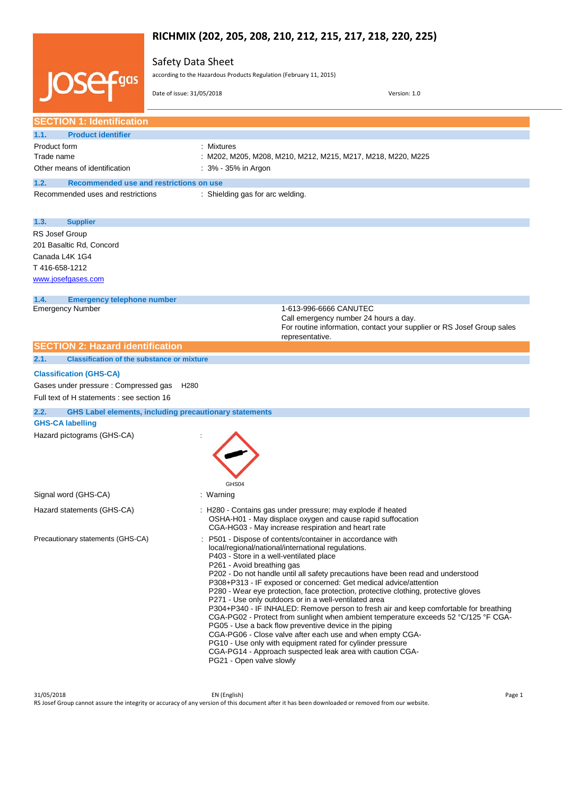# **RICHMIX (202, 205, 208, 210, 212, 215, 217, 218, 220, 225)**

## Safety Data Sheet

|                                                                         |                                                               | according to the Hazardous Products Regulation (February 11, 2015)                                                                                                                                                                           |
|-------------------------------------------------------------------------|---------------------------------------------------------------|----------------------------------------------------------------------------------------------------------------------------------------------------------------------------------------------------------------------------------------------|
|                                                                         | Date of issue: 31/05/2018                                     | Version: 1.0                                                                                                                                                                                                                                 |
| <b>SECTION 1: Identification</b>                                        |                                                               |                                                                                                                                                                                                                                              |
| 1.1.<br><b>Product identifier</b>                                       |                                                               |                                                                                                                                                                                                                                              |
| Product form                                                            | : Mixtures                                                    |                                                                                                                                                                                                                                              |
| Trade name                                                              |                                                               | : M202, M205, M208, M210, M212, M215, M217, M218, M220, M225                                                                                                                                                                                 |
| Other means of identification                                           | : 3% - 35% in Argon                                           |                                                                                                                                                                                                                                              |
| 1.2.<br>Recommended use and restrictions on use                         |                                                               |                                                                                                                                                                                                                                              |
| Recommended uses and restrictions                                       | : Shielding gas for arc welding.                              |                                                                                                                                                                                                                                              |
| 1.3.<br><b>Supplier</b>                                                 |                                                               |                                                                                                                                                                                                                                              |
| RS Josef Group                                                          |                                                               |                                                                                                                                                                                                                                              |
| 201 Basaltic Rd, Concord                                                |                                                               |                                                                                                                                                                                                                                              |
| Canada L4K 1G4                                                          |                                                               |                                                                                                                                                                                                                                              |
| T416-658-1212                                                           |                                                               |                                                                                                                                                                                                                                              |
| www.josefgases.com                                                      |                                                               |                                                                                                                                                                                                                                              |
| 1.4.<br><b>Emergency telephone number</b>                               |                                                               |                                                                                                                                                                                                                                              |
| <b>Emergency Number</b>                                                 |                                                               | 1-613-996-6666 CANUTEC                                                                                                                                                                                                                       |
|                                                                         |                                                               | Call emergency number 24 hours a day.<br>For routine information, contact your supplier or RS Josef Group sales                                                                                                                              |
|                                                                         |                                                               | representative.                                                                                                                                                                                                                              |
|                                                                         |                                                               |                                                                                                                                                                                                                                              |
| <b>SECTION 2: Hazard identification</b>                                 |                                                               |                                                                                                                                                                                                                                              |
| 2.1.<br><b>Classification of the substance or mixture</b>               |                                                               |                                                                                                                                                                                                                                              |
|                                                                         |                                                               |                                                                                                                                                                                                                                              |
| <b>Classification (GHS-CA)</b><br>Gases under pressure : Compressed gas | H <sub>280</sub>                                              |                                                                                                                                                                                                                                              |
| Full text of H statements : see section 16                              |                                                               |                                                                                                                                                                                                                                              |
| 2.2.                                                                    | <b>GHS Label elements, including precautionary statements</b> |                                                                                                                                                                                                                                              |
| <b>GHS-CA labelling</b>                                                 |                                                               |                                                                                                                                                                                                                                              |
| Hazard pictograms (GHS-CA)                                              |                                                               |                                                                                                                                                                                                                                              |
|                                                                         |                                                               |                                                                                                                                                                                                                                              |
|                                                                         |                                                               |                                                                                                                                                                                                                                              |
|                                                                         |                                                               |                                                                                                                                                                                                                                              |
|                                                                         | GHS04                                                         |                                                                                                                                                                                                                                              |
| Signal word (GHS-CA)                                                    | : Warning                                                     |                                                                                                                                                                                                                                              |
|                                                                         |                                                               |                                                                                                                                                                                                                                              |
| Hazard statements (GHS-CA)<br>Precautionary statements (GHS-CA)         |                                                               | : H280 - Contains gas under pressure; may explode if heated<br>OSHA-H01 - May displace oxygen and cause rapid suffocation<br>CGA-HG03 - May increase respiration and heart rate<br>: P501 - Dispose of contents/container in accordance with |

31/05/2018 EN (English) Page 1 RS Josef Group cannot assure the integrity or accuracy of any version of this document after it has been downloaded or removed from our website.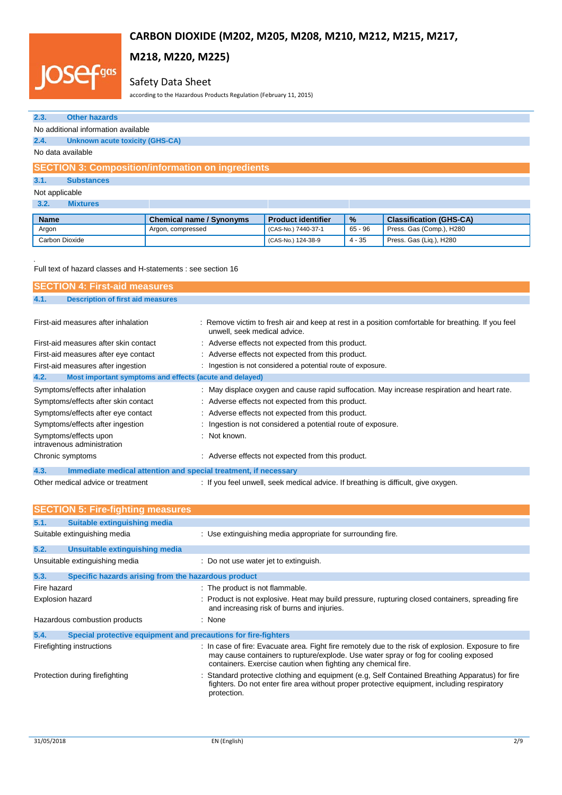# .<br>.gas IO.

# **M218, M220, M225)**

# Safety Data Sheet

according to the Hazardous Products Regulation (February 11, 2015)

| 2.3.                                                                                  | <b>Other hazards</b>                                                             |                                                                 |                                                                                    |           |                                                                                                    |
|---------------------------------------------------------------------------------------|----------------------------------------------------------------------------------|-----------------------------------------------------------------|------------------------------------------------------------------------------------|-----------|----------------------------------------------------------------------------------------------------|
|                                                                                       | No additional information available                                              |                                                                 |                                                                                    |           |                                                                                                    |
| 2.4.<br><b>Unknown acute toxicity (GHS-CA)</b>                                        |                                                                                  |                                                                 |                                                                                    |           |                                                                                                    |
|                                                                                       | No data available                                                                |                                                                 |                                                                                    |           |                                                                                                    |
|                                                                                       |                                                                                  | <b>SECTION 3: Composition/information on ingredients</b>        |                                                                                    |           |                                                                                                    |
| 3.1.                                                                                  | <b>Substances</b>                                                                |                                                                 |                                                                                    |           |                                                                                                    |
| Not applicable                                                                        |                                                                                  |                                                                 |                                                                                    |           |                                                                                                    |
| 3.2.                                                                                  | <b>Mixtures</b>                                                                  |                                                                 |                                                                                    |           |                                                                                                    |
| <b>Name</b>                                                                           |                                                                                  | <b>Chemical name / Synonyms</b>                                 | <b>Product identifier</b>                                                          | %         | <b>Classification (GHS-CA)</b>                                                                     |
| Argon                                                                                 |                                                                                  | Argon, compressed                                               | (CAS-No.) 7440-37-1                                                                | $65 - 96$ | Press. Gas (Comp.), H280                                                                           |
|                                                                                       | Carbon Dioxide                                                                   |                                                                 | (CAS-No.) 124-38-9                                                                 | $4 - 35$  | Press. Gas (Liq.), H280                                                                            |
| 4.1.                                                                                  | <b>SECTION 4: First-aid measures</b><br><b>Description of first aid measures</b> | Full text of hazard classes and H-statements : see section 16   |                                                                                    |           |                                                                                                    |
|                                                                                       |                                                                                  |                                                                 |                                                                                    |           |                                                                                                    |
|                                                                                       | First-aid measures after inhalation                                              | unwell, seek medical advice.                                    |                                                                                    |           | : Remove victim to fresh air and keep at rest in a position comfortable for breathing. If you feel |
|                                                                                       | First-aid measures after skin contact                                            |                                                                 | : Adverse effects not expected from this product.                                  |           |                                                                                                    |
|                                                                                       | First-aid measures after eye contact                                             |                                                                 | : Adverse effects not expected from this product.                                  |           |                                                                                                    |
|                                                                                       | First-aid measures after ingestion                                               |                                                                 | : Ingestion is not considered a potential route of exposure.                       |           |                                                                                                    |
| 4.2.                                                                                  |                                                                                  | Most important symptoms and effects (acute and delayed)         |                                                                                    |           |                                                                                                    |
|                                                                                       | Symptoms/effects after inhalation                                                |                                                                 |                                                                                    |           | : May displace oxygen and cause rapid suffocation. May increase respiration and heart rate.        |
|                                                                                       | Symptoms/effects after skin contact                                              |                                                                 | Adverse effects not expected from this product.                                    |           |                                                                                                    |
| Symptoms/effects after eye contact<br>Adverse effects not expected from this product. |                                                                                  |                                                                 |                                                                                    |           |                                                                                                    |
|                                                                                       | Symptoms/effects after ingestion                                                 |                                                                 | Ingestion is not considered a potential route of exposure.                         |           |                                                                                                    |
|                                                                                       | Symptoms/effects upon<br>intravenous administration                              | Not known.                                                      |                                                                                    |           |                                                                                                    |
|                                                                                       | Chronic symptoms                                                                 |                                                                 | : Adverse effects not expected from this product.                                  |           |                                                                                                    |
| 4.3.                                                                                  |                                                                                  | Immediate medical attention and special treatment, if necessary |                                                                                    |           |                                                                                                    |
|                                                                                       | Other medical advice or treatment                                                |                                                                 | : If you feel unwell, seek medical advice. If breathing is difficult, give oxygen. |           |                                                                                                    |
|                                                                                       | <b>SECTION 5: Fire-fighting measures</b>                                         |                                                                 |                                                                                    |           |                                                                                                    |
| 5.1.                                                                                  | Suitable extinguishing media                                                     |                                                                 |                                                                                    |           |                                                                                                    |
|                                                                                       | Suitable extinguishing media                                                     |                                                                 | : Use extinguishing media appropriate for surrounding fire.                        |           |                                                                                                    |
| 5.2.                                                                                  | Unsuitable extinguishing media                                                   |                                                                 |                                                                                    |           |                                                                                                    |
|                                                                                       | Unsuitable extinguishing media                                                   | : Do not use water jet to extinguish.                           |                                                                                    |           |                                                                                                    |
| 5.3.                                                                                  |                                                                                  | Specific hazards arising from the hazardous product             |                                                                                    |           |                                                                                                    |
| Fire hazard                                                                           |                                                                                  | : The product is not flammable.                                 |                                                                                    |           |                                                                                                    |
|                                                                                       | Explosion hazard                                                                 |                                                                 | and increasing risk of burns and injuries.                                         |           | : Product is not explosive. Heat may build pressure, rupturing closed containers, spreading fire   |

| Hazardous combustion products                                          | : None                                                                                                                                                                                                                                                       |
|------------------------------------------------------------------------|--------------------------------------------------------------------------------------------------------------------------------------------------------------------------------------------------------------------------------------------------------------|
| 5.4.<br>Special protective equipment and precautions for fire-fighters |                                                                                                                                                                                                                                                              |
| Firefighting instructions                                              | : In case of fire: Evacuate area. Fight fire remotely due to the risk of explosion. Exposure to fire<br>may cause containers to rupture/explode. Use water spray or fog for cooling exposed<br>containers. Exercise caution when fighting any chemical fire. |
| Protection during firefighting                                         | : Standard protective clothing and equipment (e.g. Self Contained Breathing Apparatus) for fire<br>fighters. Do not enter fire area without proper protective equipment, including respiratory<br>protection.                                                |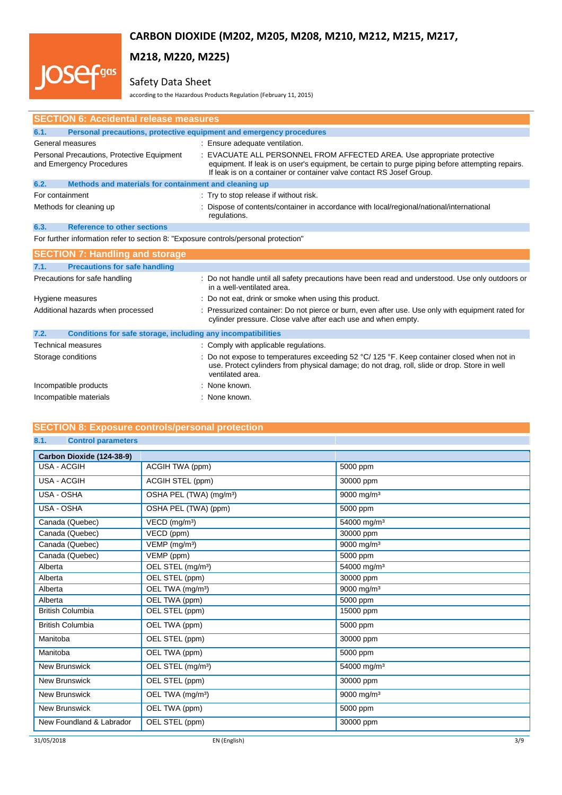# **M218, M220, M225)**

# Safety Data Sheet

.<br>.gas

**IOS** 

according to the Hazardous Products Regulation (February 11, 2015)

| <b>SECTION 6: Accidental release measures</b>                                       |                                                                                                                                                                                                                                                     |  |
|-------------------------------------------------------------------------------------|-----------------------------------------------------------------------------------------------------------------------------------------------------------------------------------------------------------------------------------------------------|--|
| Personal precautions, protective equipment and emergency procedures<br>6.1.         |                                                                                                                                                                                                                                                     |  |
| General measures                                                                    | : Ensure adequate ventilation.                                                                                                                                                                                                                      |  |
| Personal Precautions, Protective Equipment<br>and Emergency Procedures              | : EVACUATE ALL PERSONNEL FROM AFFECTED AREA. Use appropriate protective<br>equipment. If leak is on user's equipment, be certain to purge piping before attempting repairs.<br>If leak is on a container or container valve contact RS Josef Group. |  |
| Methods and materials for containment and cleaning up<br>6.2.                       |                                                                                                                                                                                                                                                     |  |
| For containment                                                                     | : Try to stop release if without risk.                                                                                                                                                                                                              |  |
| Methods for cleaning up                                                             | : Dispose of contents/container in accordance with local/regional/national/international<br>regulations.                                                                                                                                            |  |
| <b>Reference to other sections</b><br>6.3.                                          |                                                                                                                                                                                                                                                     |  |
| For further information refer to section 8: "Exposure controls/personal protection" |                                                                                                                                                                                                                                                     |  |
| <b>SECTION 7: Handling and storage</b>                                              |                                                                                                                                                                                                                                                     |  |
| <b>Precautions for safe handling</b><br>7.1.                                        |                                                                                                                                                                                                                                                     |  |
| Precautions for safe handling                                                       | : Do not handle until all safety precautions have been read and understood. Use only outdoors or<br>in a well-ventilated area.                                                                                                                      |  |
| Hygiene measures                                                                    | : Do not eat, drink or smoke when using this product.                                                                                                                                                                                               |  |
| Additional hazards when processed                                                   | : Pressurized container: Do not pierce or burn, even after use. Use only with equipment rated for<br>cylinder pressure. Close valve after each use and when empty.                                                                                  |  |
| Conditions for safe storage, including any incompatibilities<br>7.2.                |                                                                                                                                                                                                                                                     |  |
| <b>Technical measures</b>                                                           | : Comply with applicable regulations.                                                                                                                                                                                                               |  |
| Storage conditions                                                                  | : Do not expose to temperatures exceeding 52 °C/ 125 °F. Keep container closed when not in<br>use. Protect cylinders from physical damage; do not drag, roll, slide or drop. Store in well<br>ventilated area.                                      |  |
| Incompatible products                                                               | : None known.                                                                                                                                                                                                                                       |  |
| Incompatible materials                                                              | : None known.                                                                                                                                                                                                                                       |  |

## **SECTION 8: Exposure controls/personal protection**

# **8.1. Control parameters**

| Carbon Dioxide (124-38-9) |                                     |                         |
|---------------------------|-------------------------------------|-------------------------|
| <b>USA - ACGIH</b>        | ACGIH TWA (ppm)                     | 5000 ppm                |
| <b>USA - ACGIH</b>        | ACGIH STEL (ppm)                    | 30000 ppm               |
| USA - OSHA                | OSHA PEL (TWA) (mg/m <sup>3</sup> ) | 9000 mg/m <sup>3</sup>  |
| USA - OSHA                | OSHA PEL (TWA) (ppm)                | 5000 ppm                |
| Canada (Quebec)           | VECD (mg/m <sup>3</sup> )           | 54000 mg/m <sup>3</sup> |
| Canada (Quebec)           | VECD (ppm)                          | 30000 ppm               |
| Canada (Quebec)           | $VEMP$ (mg/m <sup>3</sup> )         | 9000 mg/m <sup>3</sup>  |
| Canada (Quebec)           | VEMP (ppm)                          | 5000 ppm                |
| Alberta                   | OEL STEL (mg/m <sup>3</sup> )       | 54000 mg/m <sup>3</sup> |
| Alberta                   | OEL STEL (ppm)                      | 30000 ppm               |
| Alberta                   | OEL TWA (mg/m <sup>3</sup> )        | 9000 mg/m <sup>3</sup>  |
| Alberta                   | OEL TWA (ppm)                       | 5000 ppm                |
| <b>British Columbia</b>   | OEL STEL (ppm)                      | 15000 ppm               |
| <b>British Columbia</b>   | OEL TWA (ppm)                       | 5000 ppm                |
| Manitoba                  | OEL STEL (ppm)                      | 30000 ppm               |
| Manitoba                  | OEL TWA (ppm)                       | 5000 ppm                |
| <b>New Brunswick</b>      | OEL STEL (mg/m <sup>3</sup> )       | 54000 mg/m <sup>3</sup> |
| <b>New Brunswick</b>      | OEL STEL (ppm)                      | 30000 ppm               |
| <b>New Brunswick</b>      | OEL TWA (mg/m <sup>3</sup> )        | 9000 mg/m <sup>3</sup>  |
| <b>New Brunswick</b>      | OEL TWA (ppm)                       | 5000 ppm                |
| New Foundland & Labrador  | OEL STEL (ppm)                      | 30000 ppm               |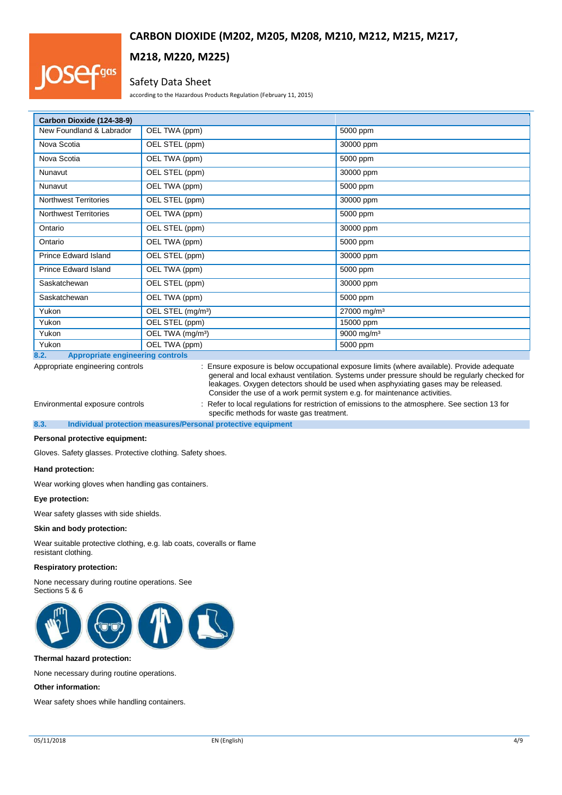# qas

# **M218, M220, M225)**

## Safety Data Sheet

according to the Hazardous Products Regulation (February 11, 2015)

| Carbon Dioxide (124-38-9)                  |                               |                         |
|--------------------------------------------|-------------------------------|-------------------------|
| New Foundland & Labrador                   | OEL TWA (ppm)                 | 5000 ppm                |
| Nova Scotia                                | OEL STEL (ppm)                | 30000 ppm               |
| Nova Scotia                                | OEL TWA (ppm)                 | 5000 ppm                |
| Nunavut                                    | OEL STEL (ppm)                | 30000 ppm               |
| Nunavut                                    | OEL TWA (ppm)                 | 5000 ppm                |
| <b>Northwest Territories</b>               | OEL STEL (ppm)                | 30000 ppm               |
| <b>Northwest Territories</b>               | OEL TWA (ppm)                 | 5000 ppm                |
| Ontario                                    | OEL STEL (ppm)                | 30000 ppm               |
| Ontario                                    | OEL TWA (ppm)                 | 5000 ppm                |
| <b>Prince Edward Island</b>                | OEL STEL (ppm)                | 30000 ppm               |
| <b>Prince Edward Island</b>                | OEL TWA (ppm)                 | 5000 ppm                |
| Saskatchewan                               | OEL STEL (ppm)                | 30000 ppm               |
| Saskatchewan                               | OEL TWA (ppm)                 | 5000 ppm                |
| Yukon                                      | OEL STEL (mg/m <sup>3</sup> ) | 27000 mg/m <sup>3</sup> |
| Yukon                                      | OEL STEL (ppm)                | 15000 ppm               |
| Yukon                                      | OEL TWA (mg/m <sup>3</sup> )  | 9000 mg/m <sup>3</sup>  |
| Yukon<br><b>Contract Contract Contract</b> | OEL TWA (ppm)                 | 5000 ppm                |

## **8.2. Appropriate engineering controls**

Appropriate engineering controls : Ensure exposure is below occupational exposure limits (where available). Provide adequate general and local exhaust ventilation. Systems under pressure should be regularly checked for leakages. Oxygen detectors should be used when asphyxiating gases may be released. Consider the use of a work permit system e.g. for maintenance activities.

Environmental exposure controls : Refer to local regulations for restriction of emissions to the atmosphere. See section 13 for specific methods for waste gas treatment.

**8.3. Individual protection measures/Personal protective equipment**

## **Personal protective equipment:**

Gloves. Safety glasses. Protective clothing. Safety shoes.

### **Hand protection:**

Wear working gloves when handling gas containers.

### **Eye protection:**

Wear safety glasses with side shields.

### **Skin and body protection:**

Wear suitable protective clothing, e.g. lab coats, coveralls or flame resistant clothing.

## **Respiratory protection:**

None necessary during routine operations. See Sections 5 & 6



#### **Thermal hazard protection:**

None necessary during routine operations.

## **Other information:**

Wear safety shoes while handling containers.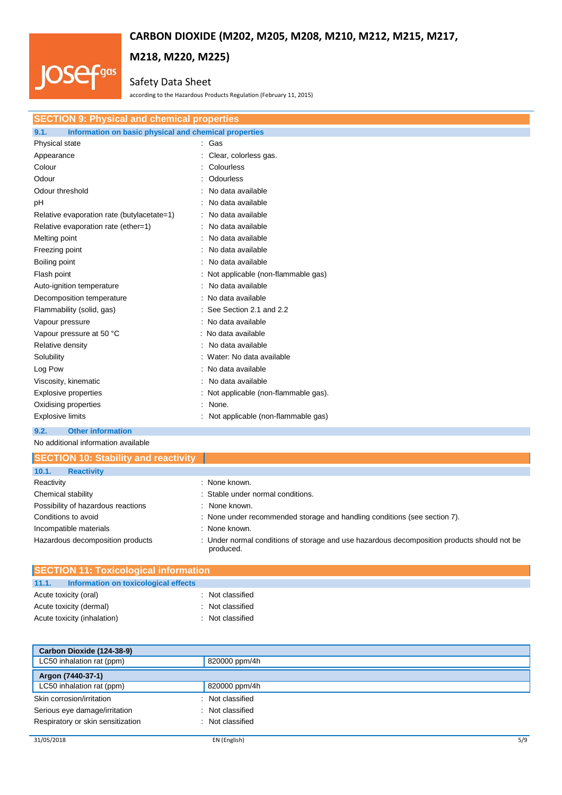# **M218, M220, M225)** .<br>.gas

# Safety Data Sheet

according to the Hazardous Products Regulation (February 11, 2015)

| <b>SECTION 9: Physical and chemical properties</b>            |                                       |  |
|---------------------------------------------------------------|---------------------------------------|--|
| Information on basic physical and chemical properties<br>9.1. |                                       |  |
| Physical state                                                | : Gas                                 |  |
| Appearance                                                    | Clear, colorless gas.                 |  |
| Colour                                                        | Colourless                            |  |
| Odour                                                         | Odourless                             |  |
| Odour threshold                                               | No data available                     |  |
| рH                                                            | No data available                     |  |
| Relative evaporation rate (butylacetate=1)                    | No data available                     |  |
| Relative evaporation rate (ether=1)                           | : No data available                   |  |
| Melting point                                                 | No data available                     |  |
| Freezing point                                                | No data available                     |  |
| Boiling point                                                 | No data available                     |  |
| Flash point                                                   | : Not applicable (non-flammable gas)  |  |
| Auto-ignition temperature                                     | : No data available                   |  |
| Decomposition temperature                                     | : No data available                   |  |
| Flammability (solid, gas)                                     | : See Section 2.1 and 2.2             |  |
| Vapour pressure                                               | : No data available                   |  |
| Vapour pressure at 50 °C                                      | : No data available                   |  |
| Relative density                                              | No data available                     |  |
| Solubility                                                    | : Water: No data available            |  |
| Log Pow                                                       | : No data available                   |  |
| Viscosity, kinematic                                          | No data available                     |  |
| Explosive properties                                          | : Not applicable (non-flammable gas). |  |
| Oxidising properties                                          | None.                                 |  |
| <b>Explosive limits</b>                                       | Not applicable (non-flammable gas)    |  |
| 9.2.<br><b>Other information</b>                              |                                       |  |

No additional information available

**IOS** 

| <b>SECTION 10: Stability and reactivity</b> |                                                                                                          |
|---------------------------------------------|----------------------------------------------------------------------------------------------------------|
| <b>Reactivity</b><br>10.1.                  |                                                                                                          |
| Reactivity                                  | : None known.                                                                                            |
| Chemical stability                          | : Stable under normal conditions.                                                                        |
| Possibility of hazardous reactions          | : None known.                                                                                            |
| Conditions to avoid                         | : None under recommended storage and handling conditions (see section 7).                                |
| Incompatible materials                      | : None known.                                                                                            |
| Hazardous decomposition products            | : Under normal conditions of storage and use hazardous decomposition products should not be<br>produced. |

| <b>SECTION 11: Toxicological information</b> |                  |  |
|----------------------------------------------|------------------|--|
| 11.1. Information on toxicological effects   |                  |  |
| Acute toxicity (oral)                        | : Not classified |  |
| Acute toxicity (dermal)                      | : Not classified |  |
| Acute toxicity (inhalation)                  | : Not classified |  |

| Carbon Dioxide (124-38-9)                    |                  |
|----------------------------------------------|------------------|
| LC50 inhalation rat (ppm)                    | 820000 ppm/4h    |
| Argon (7440-37-1)                            |                  |
| LC50 inhalation rat (ppm)                    | 820000 ppm/4h    |
| Skin corrosion/irritation                    | : Not classified |
| Serious eye damage/irritation<br>٠           | Not classified   |
| Respiratory or skin sensitization<br>$\cdot$ | Not classified   |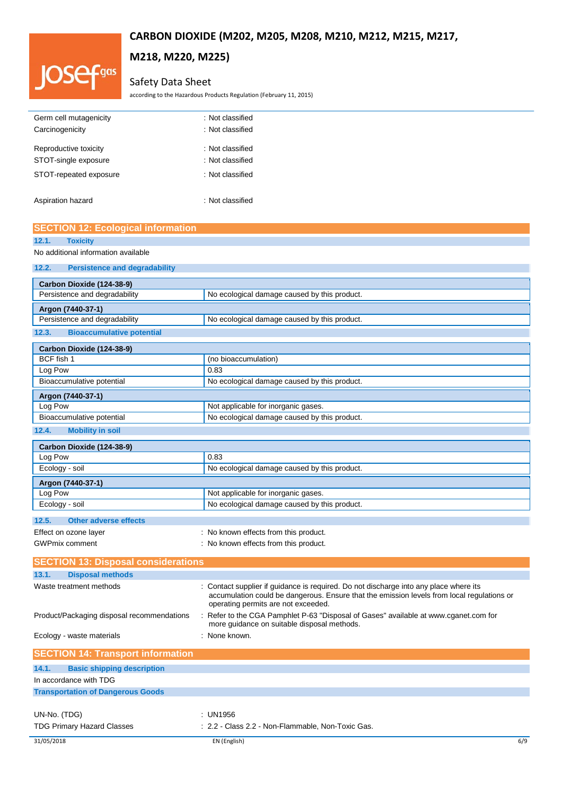# 'gas

# **M218, M220, M225)**

# Safety Data Sheet

according to the Hazardous Products Regulation (February 11, 2015)

| Germ cell mutagenicity | : Not classified |
|------------------------|------------------|
| Carcinogenicity        | : Not classified |
|                        |                  |
| Reproductive toxicity  | : Not classified |
| STOT-single exposure   | : Not classified |
| STOT-repeated exposure | : Not classified |
| Aspiration hazard      | : Not classified |

## **SECTION 12: Ecological information**

| 12.1. | <b>Toxicity</b>                      |
|-------|--------------------------------------|
|       | No additional information available  |
|       | <b>Persistence and degradability</b> |

| Carbon Dioxide (124-38-9)<br>Persistence and degradability | No ecological damage caused by this product.                                                                                                                                                                               |
|------------------------------------------------------------|----------------------------------------------------------------------------------------------------------------------------------------------------------------------------------------------------------------------------|
|                                                            |                                                                                                                                                                                                                            |
| Argon (7440-37-1)                                          |                                                                                                                                                                                                                            |
| Persistence and degradability                              | No ecological damage caused by this product.                                                                                                                                                                               |
| <b>Bioaccumulative potential</b><br>12.3.                  |                                                                                                                                                                                                                            |
| Carbon Dioxide (124-38-9)                                  |                                                                                                                                                                                                                            |
| BCF fish 1                                                 | (no bioaccumulation)                                                                                                                                                                                                       |
| Log Pow                                                    | 0.83                                                                                                                                                                                                                       |
| Bioaccumulative potential                                  | No ecological damage caused by this product.                                                                                                                                                                               |
| Argon (7440-37-1)                                          |                                                                                                                                                                                                                            |
| Log Pow                                                    | Not applicable for inorganic gases.                                                                                                                                                                                        |
| Bioaccumulative potential                                  | No ecological damage caused by this product.                                                                                                                                                                               |
| 12.4.<br><b>Mobility in soil</b>                           |                                                                                                                                                                                                                            |
| Carbon Dioxide (124-38-9)                                  |                                                                                                                                                                                                                            |
| Log Pow                                                    | 0.83                                                                                                                                                                                                                       |
| Ecology - soil                                             | No ecological damage caused by this product.                                                                                                                                                                               |
| Argon (7440-37-1)                                          |                                                                                                                                                                                                                            |
| Log Pow                                                    | Not applicable for inorganic gases.                                                                                                                                                                                        |
| Ecology - soil                                             | No ecological damage caused by this product.                                                                                                                                                                               |
| 12.5.<br><b>Other adverse effects</b>                      |                                                                                                                                                                                                                            |
| Effect on ozone layer                                      | : No known effects from this product.                                                                                                                                                                                      |
| <b>GWPmix comment</b>                                      | : No known effects from this product.                                                                                                                                                                                      |
|                                                            |                                                                                                                                                                                                                            |
| <b>SECTION 13: Disposal considerations</b>                 |                                                                                                                                                                                                                            |
| 13.1.<br><b>Disposal methods</b>                           |                                                                                                                                                                                                                            |
| Waste treatment methods                                    | : Contact supplier if guidance is required. Do not discharge into any place where its<br>accumulation could be dangerous. Ensure that the emission levels from local regulations or<br>operating permits are not exceeded. |
| Product/Packaging disposal recommendations                 | : Refer to the CGA Pamphlet P-63 "Disposal of Gases" available at www.cganet.com for<br>more guidance on suitable disposal methods.                                                                                        |
| Ecology - waste materials                                  | : None known.                                                                                                                                                                                                              |
| <b>SECTION 14: Transport information</b>                   |                                                                                                                                                                                                                            |
| 14.1.<br><b>Basic shipping description</b>                 |                                                                                                                                                                                                                            |
| In accordance with TDG                                     |                                                                                                                                                                                                                            |
|                                                            |                                                                                                                                                                                                                            |
| <b>Transportation of Dangerous Goods</b>                   |                                                                                                                                                                                                                            |
| UN-No. (TDG)                                               | : UN1956                                                                                                                                                                                                                   |
| <b>TDG Primary Hazard Classes</b>                          | : 2.2 - Class 2.2 - Non-Flammable. Non-Toxic Gas.                                                                                                                                                                          |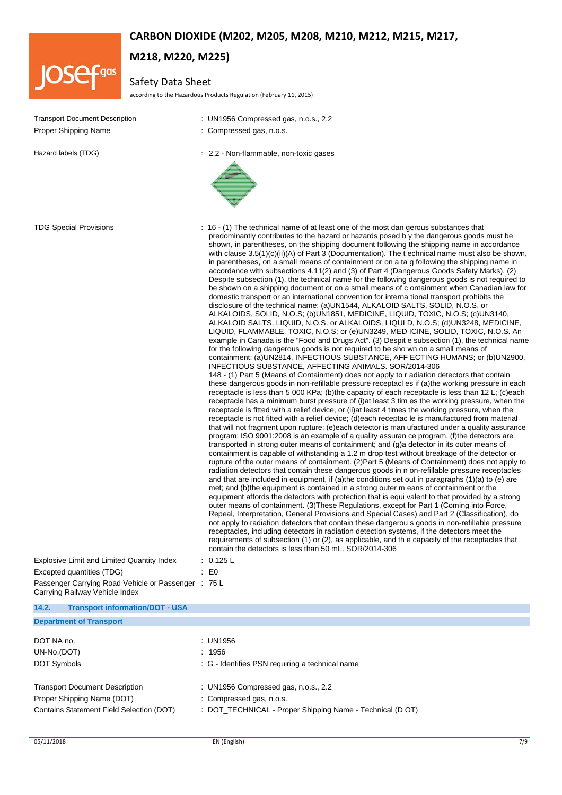

# **M218, M220, M225)**

# Safety Data Sheet

according to the Hazardous Products Regulation (February 11, 2015)

| <b>Transport Document Description</b>                                                 | : UN1956 Compressed gas, n.o.s., 2.2                                                                                                                                                                                                                                                                                                                                                                                                                                                                                                                                                                                                                                                                                                                                                                                                                                                                                                                                                                                                                                                                                                                                                                                                                                                                                                                                                                                                                                                                                                                                                                                                                                                                                                                                                                                                                                                                                                                                                                                                                                                                                                                                                                                                                                                                                                                                                                                                                                                                                                                                                                                                                                                                                                                                                                                                                                                                                                                                                                                                                                                                                                                                                                                                                                                                                                                                                                                                                                                                                                                                                                                                                 |
|---------------------------------------------------------------------------------------|------------------------------------------------------------------------------------------------------------------------------------------------------------------------------------------------------------------------------------------------------------------------------------------------------------------------------------------------------------------------------------------------------------------------------------------------------------------------------------------------------------------------------------------------------------------------------------------------------------------------------------------------------------------------------------------------------------------------------------------------------------------------------------------------------------------------------------------------------------------------------------------------------------------------------------------------------------------------------------------------------------------------------------------------------------------------------------------------------------------------------------------------------------------------------------------------------------------------------------------------------------------------------------------------------------------------------------------------------------------------------------------------------------------------------------------------------------------------------------------------------------------------------------------------------------------------------------------------------------------------------------------------------------------------------------------------------------------------------------------------------------------------------------------------------------------------------------------------------------------------------------------------------------------------------------------------------------------------------------------------------------------------------------------------------------------------------------------------------------------------------------------------------------------------------------------------------------------------------------------------------------------------------------------------------------------------------------------------------------------------------------------------------------------------------------------------------------------------------------------------------------------------------------------------------------------------------------------------------------------------------------------------------------------------------------------------------------------------------------------------------------------------------------------------------------------------------------------------------------------------------------------------------------------------------------------------------------------------------------------------------------------------------------------------------------------------------------------------------------------------------------------------------------------------------------------------------------------------------------------------------------------------------------------------------------------------------------------------------------------------------------------------------------------------------------------------------------------------------------------------------------------------------------------------------------------------------------------------------------------------------------------------------|
| Proper Shipping Name                                                                  | : Compressed gas, n.o.s.                                                                                                                                                                                                                                                                                                                                                                                                                                                                                                                                                                                                                                                                                                                                                                                                                                                                                                                                                                                                                                                                                                                                                                                                                                                                                                                                                                                                                                                                                                                                                                                                                                                                                                                                                                                                                                                                                                                                                                                                                                                                                                                                                                                                                                                                                                                                                                                                                                                                                                                                                                                                                                                                                                                                                                                                                                                                                                                                                                                                                                                                                                                                                                                                                                                                                                                                                                                                                                                                                                                                                                                                                             |
| Hazard labels (TDG)                                                                   | : 2.2 - Non-flammable, non-toxic gases                                                                                                                                                                                                                                                                                                                                                                                                                                                                                                                                                                                                                                                                                                                                                                                                                                                                                                                                                                                                                                                                                                                                                                                                                                                                                                                                                                                                                                                                                                                                                                                                                                                                                                                                                                                                                                                                                                                                                                                                                                                                                                                                                                                                                                                                                                                                                                                                                                                                                                                                                                                                                                                                                                                                                                                                                                                                                                                                                                                                                                                                                                                                                                                                                                                                                                                                                                                                                                                                                                                                                                                                               |
| <b>TDG Special Provisions</b>                                                         | : 16 - (1) The technical name of at least one of the most dan gerous substances that<br>predominantly contributes to the hazard or hazards posed by the dangerous goods must be<br>shown, in parentheses, on the shipping document following the shipping name in accordance<br>with clause $3.5(1)(c)(ii)(A)$ of Part 3 (Documentation). The t echnical name must also be shown,<br>in parentheses, on a small means of containment or on a ta g following the shipping name in<br>accordance with subsections 4.11(2) and (3) of Part 4 (Dangerous Goods Safety Marks). (2)<br>Despite subsection (1), the technical name for the following dangerous goods is not required to<br>be shown on a shipping document or on a small means of c ontainment when Canadian law for<br>domestic transport or an international convention for interna tional transport prohibits the<br>disclosure of the technical name: (a)UN1544, ALKALOID SALTS, SOLID, N.O.S. or<br>ALKALOIDS, SOLID, N.O.S; (b)UN1851, MEDICINE, LIQUID, TOXIC, N.O.S; (c)UN3140,<br>ALKALOID SALTS, LIQUID, N.O.S. or ALKALOIDS, LIQUI D, N.O.S; (d)UN3248, MEDICINE,<br>LIQUID, FLAMMABLE, TOXIC, N.O.S; or (e)UN3249, MED ICINE, SOLID, TOXIC, N.O.S. An<br>example in Canada is the "Food and Drugs Act". (3) Despit e subsection (1), the technical name<br>for the following dangerous goods is not required to be sho wn on a small means of<br>containment: (a)UN2814, INFECTIOUS SUBSTANCE, AFF ECTING HUMANS; or (b)UN2900,<br>INFECTIOUS SUBSTANCE, AFFECTING ANIMALS. SOR/2014-306<br>148 - (1) Part 5 (Means of Containment) does not apply to r adiation detectors that contain<br>these dangerous goods in non-refillable pressure receptacl es if (a) the working pressure in each<br>receptacle is less than 5 000 KPa; (b)the capacity of each receptacle is less than 12 L; (c)each<br>receptacle has a minimum burst pressure of (i) at least 3 tim es the working pressure, when the<br>receptacle is fitted with a relief device, or (ii) at least 4 times the working pressure, when the<br>receptacle is not fitted with a relief device; (d)each receptac le is manufactured from material<br>that will not fragment upon rupture; (e)each detector is man ufactured under a quality assurance<br>program; ISO 9001:2008 is an example of a quality assuran ce program. (f)the detectors are<br>transported in strong outer means of containment; and (g)a detector in its outer means of<br>containment is capable of withstanding a 1.2 m drop test without breakage of the detector or<br>rupture of the outer means of containment. (2) Part 5 (Means of Containment) does not apply to<br>radiation detectors that contain these dangerous goods in n on-refillable pressure receptacles<br>and that are included in equipment, if (a)the conditions set out in paragraphs $(1)(a)$ to (e) are<br>met; and (b) the equipment is contained in a strong outer m eans of containment or the<br>equipment affords the detectors with protection that is equi valent to that provided by a strong<br>outer means of containment. (3) These Regulations, except for Part 1 (Coming into Force,<br>Repeal, Interpretation, General Provisions and Special Cases) and Part 2 (Classification), do<br>not apply to radiation detectors that contain these dangerou s goods in non-refillable pressure<br>receptacles, including detectors in radiation detection systems, if the detectors meet the<br>requirements of subsection (1) or (2), as applicable, and th e capacity of the receptacles that<br>contain the detectors is less than 50 mL. SOR/2014-306 |
| <b>Explosive Limit and Limited Quantity Index</b>                                     | : 0.125 L                                                                                                                                                                                                                                                                                                                                                                                                                                                                                                                                                                                                                                                                                                                                                                                                                                                                                                                                                                                                                                                                                                                                                                                                                                                                                                                                                                                                                                                                                                                                                                                                                                                                                                                                                                                                                                                                                                                                                                                                                                                                                                                                                                                                                                                                                                                                                                                                                                                                                                                                                                                                                                                                                                                                                                                                                                                                                                                                                                                                                                                                                                                                                                                                                                                                                                                                                                                                                                                                                                                                                                                                                                            |
| Excepted quantities (TDG)                                                             | $\therefore$ EO                                                                                                                                                                                                                                                                                                                                                                                                                                                                                                                                                                                                                                                                                                                                                                                                                                                                                                                                                                                                                                                                                                                                                                                                                                                                                                                                                                                                                                                                                                                                                                                                                                                                                                                                                                                                                                                                                                                                                                                                                                                                                                                                                                                                                                                                                                                                                                                                                                                                                                                                                                                                                                                                                                                                                                                                                                                                                                                                                                                                                                                                                                                                                                                                                                                                                                                                                                                                                                                                                                                                                                                                                                      |
| Passenger Carrying Road Vehicle or Passenger : 75 L<br>Carrying Railway Vehicle Index |                                                                                                                                                                                                                                                                                                                                                                                                                                                                                                                                                                                                                                                                                                                                                                                                                                                                                                                                                                                                                                                                                                                                                                                                                                                                                                                                                                                                                                                                                                                                                                                                                                                                                                                                                                                                                                                                                                                                                                                                                                                                                                                                                                                                                                                                                                                                                                                                                                                                                                                                                                                                                                                                                                                                                                                                                                                                                                                                                                                                                                                                                                                                                                                                                                                                                                                                                                                                                                                                                                                                                                                                                                                      |
| 14.2.<br><b>Transport information/DOT - USA</b>                                       |                                                                                                                                                                                                                                                                                                                                                                                                                                                                                                                                                                                                                                                                                                                                                                                                                                                                                                                                                                                                                                                                                                                                                                                                                                                                                                                                                                                                                                                                                                                                                                                                                                                                                                                                                                                                                                                                                                                                                                                                                                                                                                                                                                                                                                                                                                                                                                                                                                                                                                                                                                                                                                                                                                                                                                                                                                                                                                                                                                                                                                                                                                                                                                                                                                                                                                                                                                                                                                                                                                                                                                                                                                                      |
| <b>Department of Transport</b>                                                        |                                                                                                                                                                                                                                                                                                                                                                                                                                                                                                                                                                                                                                                                                                                                                                                                                                                                                                                                                                                                                                                                                                                                                                                                                                                                                                                                                                                                                                                                                                                                                                                                                                                                                                                                                                                                                                                                                                                                                                                                                                                                                                                                                                                                                                                                                                                                                                                                                                                                                                                                                                                                                                                                                                                                                                                                                                                                                                                                                                                                                                                                                                                                                                                                                                                                                                                                                                                                                                                                                                                                                                                                                                                      |
| DOT NA no.                                                                            | : UN1956                                                                                                                                                                                                                                                                                                                                                                                                                                                                                                                                                                                                                                                                                                                                                                                                                                                                                                                                                                                                                                                                                                                                                                                                                                                                                                                                                                                                                                                                                                                                                                                                                                                                                                                                                                                                                                                                                                                                                                                                                                                                                                                                                                                                                                                                                                                                                                                                                                                                                                                                                                                                                                                                                                                                                                                                                                                                                                                                                                                                                                                                                                                                                                                                                                                                                                                                                                                                                                                                                                                                                                                                                                             |
| UN-No.(DOT)                                                                           | 1956                                                                                                                                                                                                                                                                                                                                                                                                                                                                                                                                                                                                                                                                                                                                                                                                                                                                                                                                                                                                                                                                                                                                                                                                                                                                                                                                                                                                                                                                                                                                                                                                                                                                                                                                                                                                                                                                                                                                                                                                                                                                                                                                                                                                                                                                                                                                                                                                                                                                                                                                                                                                                                                                                                                                                                                                                                                                                                                                                                                                                                                                                                                                                                                                                                                                                                                                                                                                                                                                                                                                                                                                                                                 |
| DOT Symbols                                                                           | : G - Identifies PSN requiring a technical name                                                                                                                                                                                                                                                                                                                                                                                                                                                                                                                                                                                                                                                                                                                                                                                                                                                                                                                                                                                                                                                                                                                                                                                                                                                                                                                                                                                                                                                                                                                                                                                                                                                                                                                                                                                                                                                                                                                                                                                                                                                                                                                                                                                                                                                                                                                                                                                                                                                                                                                                                                                                                                                                                                                                                                                                                                                                                                                                                                                                                                                                                                                                                                                                                                                                                                                                                                                                                                                                                                                                                                                                      |
|                                                                                       |                                                                                                                                                                                                                                                                                                                                                                                                                                                                                                                                                                                                                                                                                                                                                                                                                                                                                                                                                                                                                                                                                                                                                                                                                                                                                                                                                                                                                                                                                                                                                                                                                                                                                                                                                                                                                                                                                                                                                                                                                                                                                                                                                                                                                                                                                                                                                                                                                                                                                                                                                                                                                                                                                                                                                                                                                                                                                                                                                                                                                                                                                                                                                                                                                                                                                                                                                                                                                                                                                                                                                                                                                                                      |

Contains Statement Field Selection (DOT) : DOT\_TECHNICAL - Proper Shipping Name - Technical (D OT)

Transport Document Description : UN1956 Compressed gas, n.o.s., 2.2

Proper Shipping Name (DOT) : Compressed gas, n.o.s.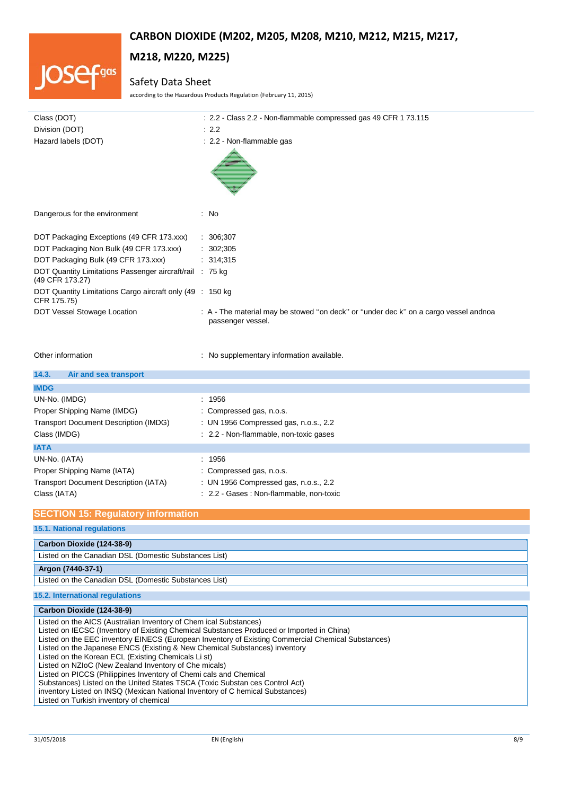

# **M218, M220, M225)**

# Safety Data Sheet

according to the Hazardous Products Regulation (February 11, 2015)

| Class (DOT)                                                                 | : 2.2 - Class 2.2 - Non-flammable compressed gas 49 CFR 1 73.115                                          |
|-----------------------------------------------------------------------------|-----------------------------------------------------------------------------------------------------------|
| Division (DOT)                                                              | $\therefore$ 2.2                                                                                          |
| Hazard labels (DOT)                                                         | : 2.2 - Non-flammable gas                                                                                 |
|                                                                             |                                                                                                           |
| Dangerous for the environment                                               | : No                                                                                                      |
| DOT Packaging Exceptions (49 CFR 173.xxx)                                   | : 306,307                                                                                                 |
| DOT Packaging Non Bulk (49 CFR 173.xxx)                                     | : 302;305                                                                                                 |
| DOT Packaging Bulk (49 CFR 173.xxx)                                         | : 314,315                                                                                                 |
| DOT Quantity Limitations Passenger aircraft/rail : 75 kg<br>(49 CFR 173.27) |                                                                                                           |
| DOT Quantity Limitations Cargo aircraft only (49 : 150 kg)<br>CFR 175.75)   |                                                                                                           |
| DOT Vessel Stowage Location                                                 | : A - The material may be stowed "on deck" or "under dec k" on a cargo vessel andnoa<br>passenger vessel. |
|                                                                             |                                                                                                           |

Other information **contract in the contract of the contract of the contract of the contract of the CO** contract of the contract of the contract of the contract of the contract of the contract of the contract of the contrac

| 14.3.<br>Air and sea transport<br><b>IMDG</b>                                                                               |                                                                                                                         |
|-----------------------------------------------------------------------------------------------------------------------------|-------------------------------------------------------------------------------------------------------------------------|
| UN-No. (IMDG)<br>Proper Shipping Name (IMDG)<br><b>Transport Document Description (IMDG)</b><br>Class (IMDG)                | : 1956<br>: Compressed gas, n.o.s.<br>: UN 1956 Compressed gas, n.o.s., 2.2<br>: 2.2 - Non-flammable, non-toxic gases   |
| <b>IATA</b><br>UN-No. (IATA)<br>Proper Shipping Name (IATA)<br><b>Transport Document Description (IATA)</b><br>Class (IATA) | : 1956<br>: Compressed gas, n.o.s.<br>: UN 1956 Compressed gas, n.o.s., 2.2<br>: 2.2 - Gases : Non-flammable, non-toxic |

| <b>SECTION 15: Regulatory information</b>                                                                                                                                                                  |
|------------------------------------------------------------------------------------------------------------------------------------------------------------------------------------------------------------|
|                                                                                                                                                                                                            |
| <b>15.1. National regulations</b>                                                                                                                                                                          |
|                                                                                                                                                                                                            |
| Carbon Dioxide (124-38-9)                                                                                                                                                                                  |
| Listed on the Canadian DSL (Domestic Substances List)                                                                                                                                                      |
| Argon (7440-37-1)                                                                                                                                                                                          |
| Listed on the Canadian DSL (Domestic Substances List)                                                                                                                                                      |
| 15.2. International regulations                                                                                                                                                                            |
| Carbon Dioxide (124-38-9)                                                                                                                                                                                  |
| Listed on the AICS (Australian Inventory of Chem ical Substances)<br>Listed on IECSC (Inventory of Existing Chemical Substances Produced or Imported in China)                                             |
| Listed on the EEC inventory EINECS (European Inventory of Existing Commercial Chemical Substances)                                                                                                         |
| Listed on the Japanese ENCS (Existing & New Chemical Substances) inventory                                                                                                                                 |
| Listed on the Korean ECL (Existing Chemicals Li st)                                                                                                                                                        |
|                                                                                                                                                                                                            |
|                                                                                                                                                                                                            |
|                                                                                                                                                                                                            |
| Listed on NZIoC (New Zealand Inventory of Che micals)<br>Listed on PICCS (Philippines Inventory of Chemi cals and Chemical<br>Substances) Listed on the United States TSCA (Toxic Substan ces Control Act) |

inventory Listed on INSQ (Mexican National Inventory of C hemical Substances)

Listed on Turkish inventory of chemical